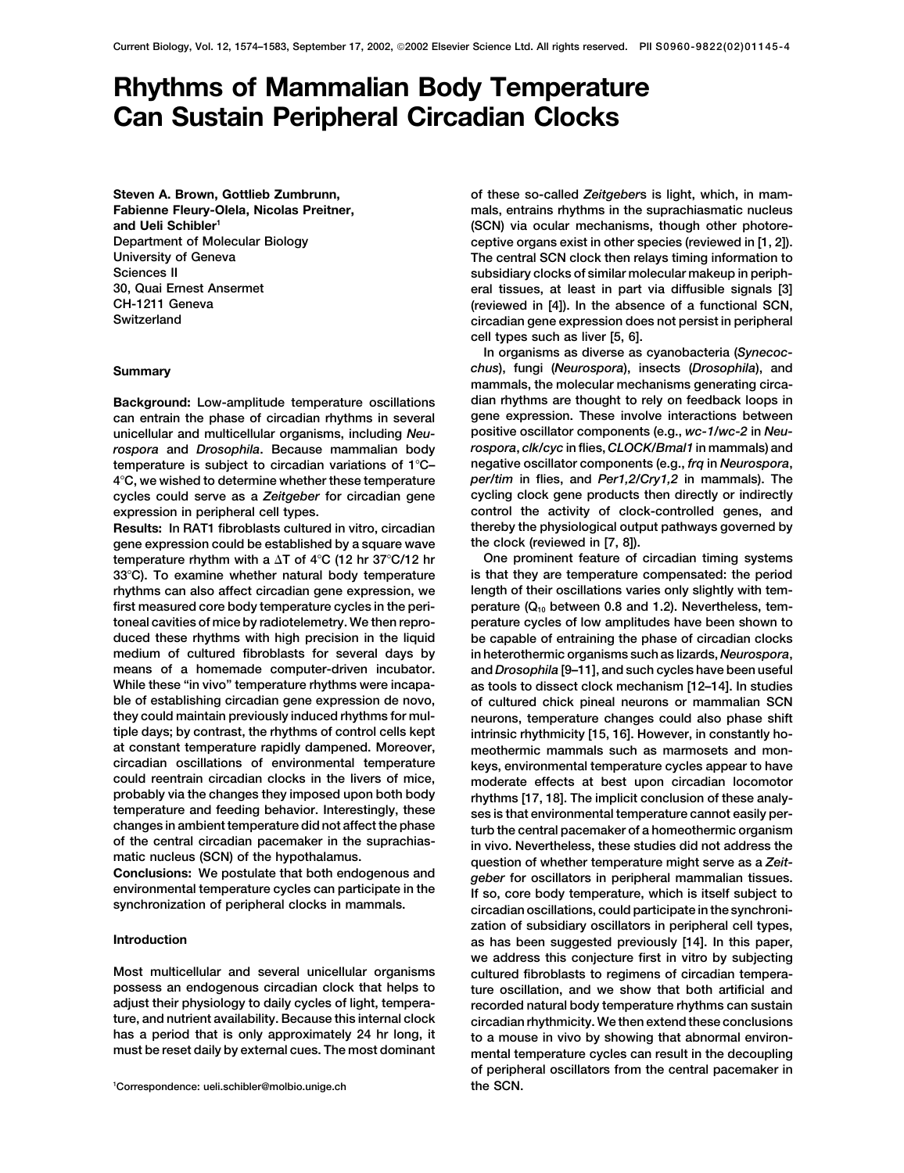# **Rhythms of Mammalian Body Temperature Can Sustain Peripheral Circadian Clocks**

**Steven A. Brown, Gottlieb Zumbrunn, Fabienne Fleury-Olela, Nicolas Preitner, and Ueli Schibler1**

**unicellular and multicellular organisms, including** *Neu-* **positive oscillator components (e.g.,** *wc-1***/***wc-2* **in** *Neu-*

**gene expression could be established by a square wave the clock (reviewed in [7, 8]).** temperature rhythm with a  $\Delta T$  of 4°C (12 hr 37°C/12 hr **33C). To examine whether natural body temperature is that they are temperature compensated: the period rhythms can also affect circadian gene expression, we length of their oscillations varies only slightly with tem**first measured core body temperature cycles in the peri-<br>
perature  $(Q_{10}$  between 0.8 and 1.2). Nevertheless, tem**toneal cavities of mice by radiotelemetry. We then repro- perature cycles of low amplitudes have been shown to duced these rhythms with high precision in the liquid be capable of entraining the phase of circadian clocks medium of cultured fibroblasts for several days by in heterothermic organisms such as lizards,** *Neurospora***, means of a homemade computer-driven incubator. and** *Drosophila* **[9–11], and such cycles have been useful While these "in vivo" temperature rhythms were incapa- as tools to dissect clock mechanism [12–14]. In studies ble of establishing circadian gene expression de novo, of cultured chick pineal neurons or mammalian SCN they could maintain previously induced rhythms for mul- neurons, temperature changes could also phase shift tiple days; by contrast, the rhythms of control cells kept intrinsic rhythmicity [15, 16]. However, in constantly hoat constant temperature rapidly dampened. Moreover, meothermic mammals such as marmosets and moncircadian oscillations of environmental temperature keys, environmental temperature cycles appear to have could reentrain circadian clocks in the livers of mice, moderate effects at best upon circadian locomotor probably via the changes they imposed upon both body rhythms [17, 18]. The implicit conclusion of these analytemperature and feeding behavior. Interestingly, these ses is that environmental temperature cannot easily per-**

**Most multicellular and several unicellular organisms cultured fibroblasts to regimens of circadian temperapossess an endogenous circadian clock that helps to ture oscillation, and we show that both artificial and adjust their physiology to daily cycles of light, tempera- recorded natural body temperature rhythms can sustain ture, and nutrient availability. Because this internal clock circadian rhythmicity. We then extend these conclusions**

**the SCN. <sup>1</sup> Correspondence: ueli.schibler@molbio.unige.ch**

**of these so-called** *Zeitgeber***s is light, which, in mammals, entrains rhythms in the suprachiasmatic nucleus (SCN) via ocular mechanisms, though other photore-Department of Molecular Biology ceptive organs exist in other species (reviewed in [1, 2]). University of Geneva The central SCN clock then relays timing information to Sciences II subsidiary clocks of similar molecular makeup in periph-30, Quai Ernest Ansermet eral tissues, at least in part via diffusible signals [3] CH-1211 Geneva (reviewed in [4]). In the absence of a functional SCN, Switzerland circadian gene expression does not persist in peripheral cell types such as liver [5, 6].**

**In organisms as diverse as cyanobacteria (***Synecoc-***Summary** *chus***), fungi (***Neurospora***), insects (***Drosophila***), and mammals, the molecular mechanisms generating circa-Background: Low-amplitude temperature oscillations dian rhythms are thought to rely on feedback loops in can entrain the phase of circadian rhythms in several gene expression. These involve interactions between** *rospora* **and** *Drosophila***. Because mammalian body** *rospora***,** *clk***/***cyc* **in flies,** *CLOCK/Bmal1* **in mammals) and temperature is subject to circadian variations of 1C– negative oscillator components (e.g.,** *frq* **in** *Neurospora***, 4C, we wished to determine whether these temperature** *per***/***tim* **in flies, and** *Per1,2***/***Cry1,2* **in mammals). The cycles could serve as a** *Zeitgeber* **for circadian gene cycling clock gene products then directly or indirectly expression in peripheral cell types. control the activity of clock-controlled genes, and Results: In RAT1 fibroblasts cultured in vitro, circadian thereby the physiological output pathways governed by**

**T of 4C (12 hr 37C/12 hr One prominent feature of circadian timing systems** changes in ambient temperature did not affect the phase turb the central pacemaker of a homeothermic organism<br>of the central circadian pacemaker in the suprachias-<br>matic nucleus (SCN) of the hypothalamus.<br>question of wheth **Conclusions:** We postulate that both endogenous and geber for oscillators in peripheral mammalian tissues.<br>
environmental temperature cycles can participate in the strong order or oscillations, could participate in the sy **zation of subsidiary oscillators in peripheral cell types, Introduction as has been suggested previously [14]. In this paper, we address this conjecture first in vitro by subjecting** to a mouse in vivo by showing that abnormal environ**must be reset daily by external cues. The most dominant mental temperature cycles can result in the decoupling of peripheral oscillators from the central pacemaker in**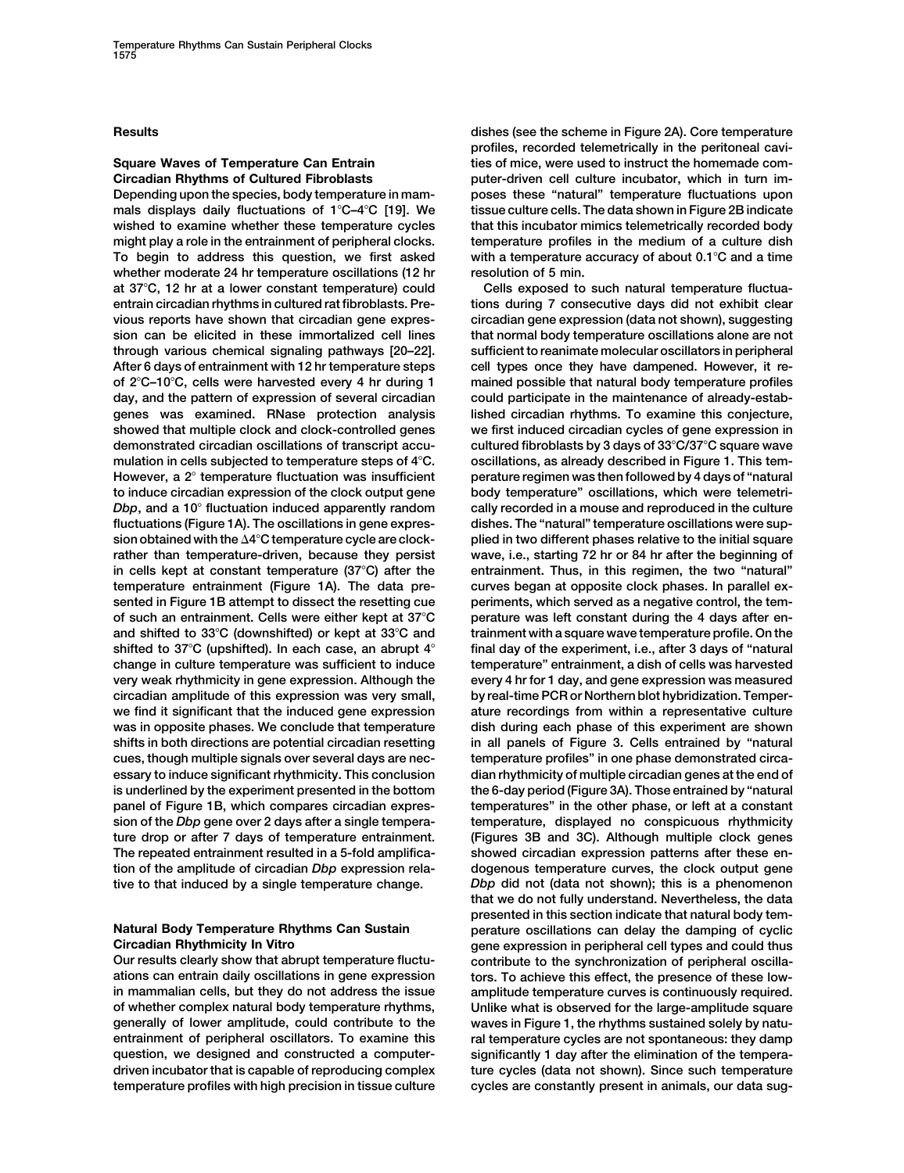**mals displays daily fluctuations of 1C–4C [19]. We tissue culture cells. The data shown in Figure 2B indicate wished to examine whether these temperature cycles that this incubator mimics telemetrically recorded body might play a role in the entrainment of peripheral clocks. temperature profiles in the medium of a culture dish To begin to address this question, we first asked with a temperature accuracy of about 0.1C and a time** whether moderate 24 hr temperature oscillations (12 hr resolution of 5 min. **at 37C, 12 hr at a lower constant temperature) could Cells exposed to such natural temperature fluctuaentrain circadian rhythms in cultured rat fibroblasts. Pre- tions during 7 consecutive days did not exhibit clear vious reports have shown that circadian gene expres- circadian gene expression (data not shown), suggesting sion can be elicited in these immortalized cell lines that normal body temperature oscillations alone are not through various chemical signaling pathways [20–22]. sufficient to reanimate molecular oscillators in peripheral** After 6 days of entrainment with 12 hr temperature steps cell types once they have dampened. However, it re**of 2C–10C, cells were harvested every 4 hr during 1 mained possible that natural body temperature profiles day, and the pattern of expression of several circadian could participate in the maintenance of already-estabgenes was examined. RNase protection analysis lished circadian rhythms. To examine this conjecture, showed that multiple clock and clock-controlled genes we first induced circadian cycles of gene expression in demonstrated circadian oscillations of transcript accu- cultured fibroblasts by 3 days of 33C/37C square wave mulation in cells subjected to temperature steps of 4C. oscillations, as already described in Figure 1. This tem-However, a 2 temperature fluctuation was insufficient perature regimen was then followed by 4 days of "natural to induce circadian expression of the clock output gene body temperature" oscillations, which were telemetri-***Dbp***, and a 10 fluctuation induced apparently random cally recorded in a mouse and reproduced in the culture fluctuations (Figure 1A). The oscillations in gene expres- dishes. The "natural" temperature oscillations were sup**sion obtained with the  $\Delta 4^{\circ}$ C temperature cycle are clock**rather than temperature-driven, because they persist wave, i.e., starting 72 hr or 84 hr after the beginning of in cells kept at constant temperature (37C) after the entrainment. Thus, in this regimen, the two "natural" temperature entrainment (Figure 1A). The data pre- curves began at opposite clock phases. In parallel exsented in Figure 1B attempt to dissect the resetting cue periments, which served as a negative control, the temof such an entrainment. Cells were either kept at 37C perature was left constant during the 4 days after enand shifted to 33C (downshifted) or kept at 33C and trainment with a square wave temperature profile. On the shifted to 37C (upshifted). In each case, an abrupt 4 final day of the experiment, i.e., after 3 days of "natural change in culture temperature was sufficient to induce temperature" entrainment, a dish of cells was harvested very weak rhythmicity in gene expression. Although the every 4 hr for 1 day, and gene expression was measured circadian amplitude of this expression was very small, by real-time PCR or Northern blot hybridization. Temperwe find it significant that the induced gene expression ature recordings from within a representative culture was in opposite phases. We conclude that temperature dish during each phase of this experiment are shown shifts in both directions are potential circadian resetting in all panels of Figure 3. Cells entrained by "natural cues, though multiple signals over several days are nec- temperature profiles" in one phase demonstrated circaessary to induce significant rhythmicity. This conclusion dian rhythmicity of multiple circadian genes at the end of is underlined by the experiment presented in the bottom the 6-day period (Figure 3A). Those entrained by "natural panel of Figure 1B, which compares circadian expres- temperatures" in the other phase, or left at a constant sion of the** *Dbp* **gene over 2 days after a single tempera- temperature, displayed no conspicuous rhythmicity ture drop or after 7 days of temperature entrainment. (Figures 3B and 3C). Although multiple clock genes The repeated entrainment resulted in a 5-fold amplifica- showed circadian expression patterns after these ention of the amplitude of circadian** *Dbp* **expression rela- dogenous temperature curves, the clock output gene tive to that induced by a single temperature change.** *Dbp* **did not (data not shown); this is a phenomenon**

**ations can entrain daily oscillations in gene expression tors. To achieve this effect, the presence of these lowin mammalian cells, but they do not address the issue amplitude temperature curves is continuously required. of whether complex natural body temperature rhythms, Unlike what is observed for the large-amplitude square generally of lower amplitude, could contribute to the waves in Figure 1, the rhythms sustained solely by natuentrainment of peripheral oscillators. To examine this ral temperature cycles are not spontaneous: they damp question, we designed and constructed a computer- significantly 1 day after the elimination of the temperadriven incubator that is capable of reproducing complex ture cycles (data not shown). Since such temperature**

**Results dishes (see the scheme in Figure 2A). Core temperature profiles, recorded telemetrically in the peritoneal cavi-Square Waves of Temperature Can Entrain ties of mice, were used to instruct the homemade com-Circadian Rhythms of Cultured Fibroblasts puter-driven cell culture incubator, which in turn im-Depending upon the species, body temperature in mam- poses these "natural" temperature fluctuations upon**

**4C temperature cycle are clock- plied in two different phases relative to the initial square that we do not fully understand. Nevertheless, the data presented in this section indicate that natural body tem-Natural Body Temperature Rhythms Can Sustain perature oscillations can delay the damping of cyclic Circadian Rhythmicity In Vitro gene expression in peripheral cell types and could thus Our results clearly show that abrupt temperature fluctu- contribute to the synchronization of peripheral oscillatemperature profiles with high precision in tissue culture cycles are constantly present in animals, our data sug-**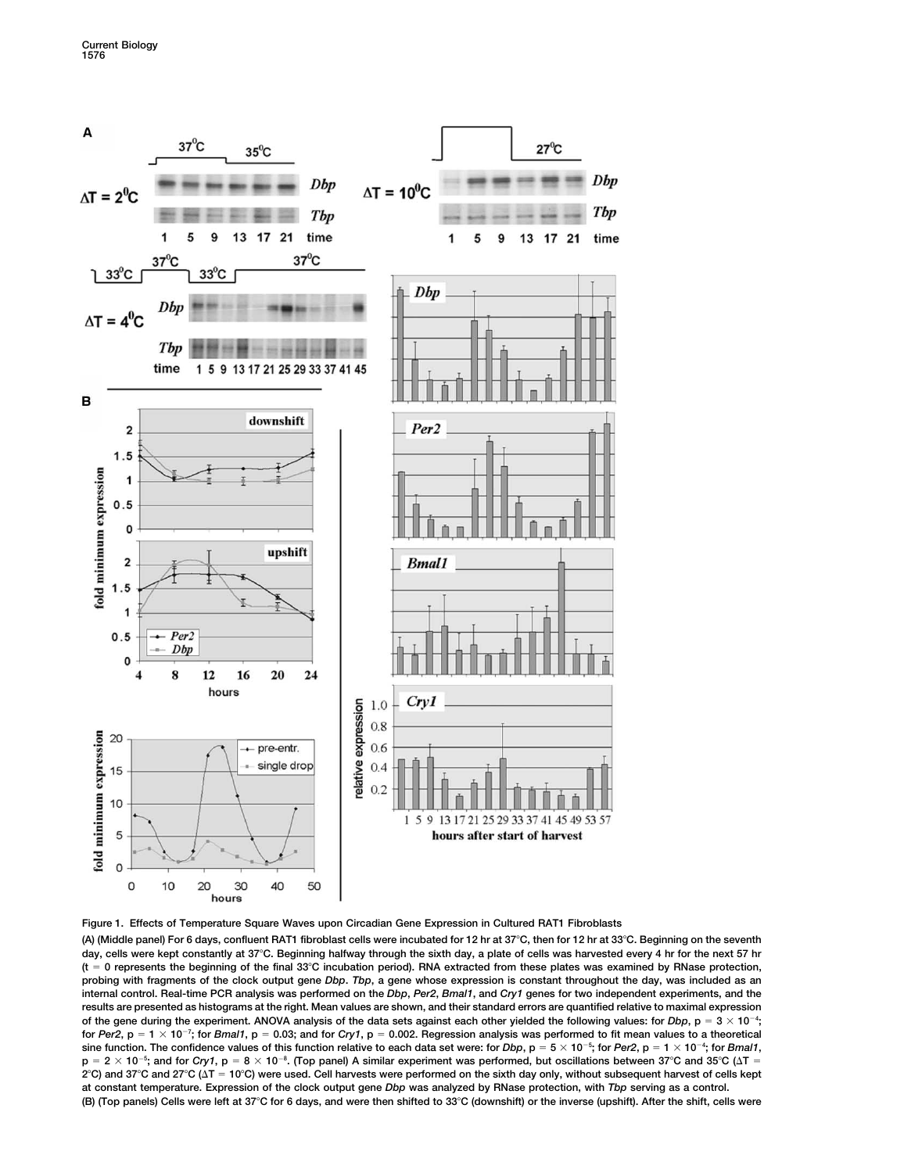

## **Figure 1. Effects of Temperature Square Waves upon Circadian Gene Expression in Cultured RAT1 Fibroblasts**

**(A) (Middle panel) For 6 days, confluent RAT1 fibroblast cells were incubated for 12 hr at 37C, then for 12 hr at 33C. Beginning on the seventh day, cells were kept constantly at 37C. Beginning halfway through the sixth day, a plate of cells was harvested every 4 hr for the next 57 hr (t 0 represents the beginning of the final 33C incubation period). RNA extracted from these plates was examined by RNase protection, probing with fragments of the clock output gene** *Dbp***.** *Tbp***, a gene whose expression is constant throughout the day, was included as an internal control. Real-time PCR analysis was performed on the** *Dbp***,** *Per2***,** *Bmal1***, and** *Cry1* **genes for two independent experiments, and the results are presented as histograms at the right. Mean values are shown, and their standard errors are quantified relative to maximal expression** of the gene during the experiment. ANOVA analysis of the data sets against each other yielded the following values: for *Dbp*,  $p = 3 \times 10^{-4}$ ; for Per2,  $p = 1 \times 10^{-7}$ ; for Bmal1,  $p = 0.03$ ; and for Cry1,  $p = 0.002$ . Regression analysis was performed to fit mean values to a theoretical sine function. The confidence values of this function relative to each data set were: for Dbp,  $p=5\times10^{-5}$ ; for Per2,  $p=1\times10^{-4}$ ; for Bmal1,  $p = 2 \times 10^{-5}$ ; and for Cry1,  $p = 8 \times 10^{-8}$ . (Top panel) A similar experiment was performed, but oscillations between 37°C and 35°C ( $\Delta T$  = 2°C) and 37°C and 27°C (∆T = 10°C) were used. Cell harvests were performed on the sixth day only, without subsequent harvest of cells kept **at constant temperature. Expression of the clock output gene** *Dbp* **was analyzed by RNase protection, with** *Tbp* **serving as a control. (B) (Top panels) Cells were left at 37C for 6 days, and were then shifted to 33C (downshift) or the inverse (upshift). After the shift, cells were**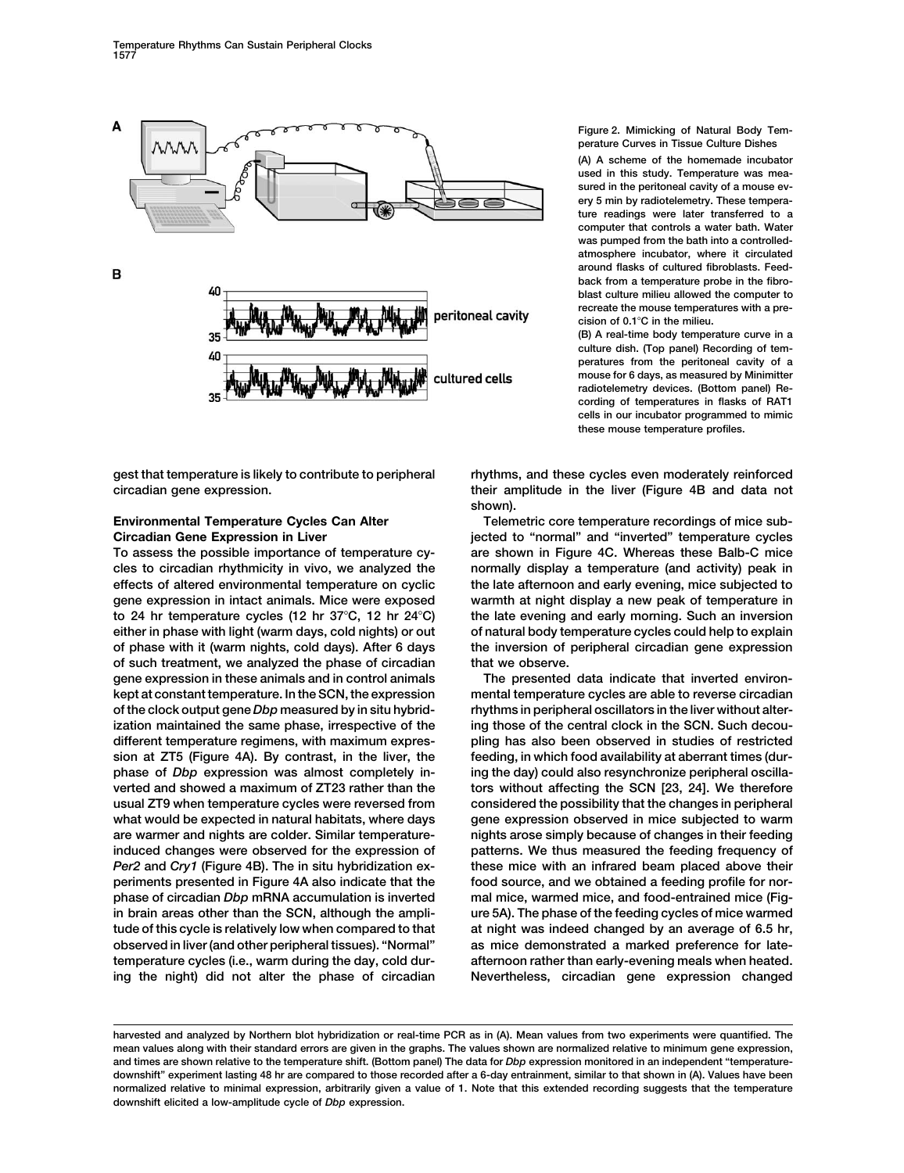

**gest that temperature is likely to contribute to peripheral rhythms, and these cycles even moderately reinforced circadian gene expression. their amplitude in the liver (Figure 4B and data not**

**cles to circadian rhythmicity in vivo, we analyzed the normally display a temperature (and activity) peak in effects of altered environmental temperature on cyclic the late afternoon and early evening, mice subjected to gene expression in intact animals. Mice were exposed warmth at night display a new peak of temperature in to 24 hr temperature cycles (12 hr 37C, 12 hr 24C) the late evening and early morning. Such an inversion either in phase with light (warm days, cold nights) or out of natural body temperature cycles could help to explain of phase with it (warm nights, cold days). After 6 days the inversion of peripheral circadian gene expression of such treatment, we analyzed the phase of circadian that we observe. gene expression in these animals and in control animals The presented data indicate that inverted environkept at constant temperature. In the SCN, the expression mental temperature cycles are able to reverse circadian of the clock output gene** *Dbp* **measured by in situ hybrid- rhythms in peripheral oscillators in the liver without alter**ization maintained the same phase, irrespective of the ing those of the central clock in the SCN. Such decou**different temperature regimens, with maximum expres- pling has also been observed in studies of restricted** sion at ZT5 (Figure 4A). By contrast, in the liver, the feeding, in which food availability at aberrant times (dur**phase of** *Dbp* **expression was almost completely in- ing the day) could also resynchronize peripheral oscillaverted and showed a maximum of ZT23 rather than the tors without affecting the SCN [23, 24]. We therefore usual ZT9 when temperature cycles were reversed from considered the possibility that the changes in peripheral what would be expected in natural habitats, where days gene expression observed in mice subjected to warm are warmer and nights are colder. Similar temperature- nights arose simply because of changes in their feeding induced changes were observed for the expression of patterns. We thus measured the feeding frequency of** *Per2* **and** *Cry1* **(Figure 4B). The in situ hybridization ex- these mice with an infrared beam placed above their periments presented in Figure 4A also indicate that the food source, and we obtained a feeding profile for norphase of circadian** *Dbp* **mRNA accumulation is inverted mal mice, warmed mice, and food-entrained mice (Figin brain areas other than the SCN, although the ampli- ure 5A). The phase of the feeding cycles of mice warmed tude of this cycle is relatively low when compared to that at night was indeed changed by an average of 6.5 hr, observed in liver (and other peripheral tissues). "Normal" as mice demonstrated a marked preference for latetemperature cycles (i.e., warm during the day, cold dur- afternoon rather than early-evening meals when heated. ing the night) did not alter the phase of circadian Nevertheless, circadian gene expression changed**

**Figure 2. Mimicking of Natural Body Temperature Curves in Tissue Culture Dishes**

**(A) A scheme of the homemade incubator used in this study. Temperature was measured in the peritoneal cavity of a mouse every 5 min by radiotelemetry. These temperature readings were later transferred to a computer that controls a water bath. Water was pumped from the bath into a controlledatmosphere incubator, where it circulated around flasks of cultured fibroblasts. Feedback from a temperature probe in the fibroblast culture milieu allowed the computer to recreate the mouse temperatures with a precision of 0.1C in the milieu.**

**(B) A real-time body temperature curve in a culture dish. (Top panel) Recording of temperatures from the peritoneal cavity of a mouse for 6 days, as measured by Minimitter radiotelemetry devices. (Bottom panel) Recording of temperatures in flasks of RAT1 cells in our incubator programmed to mimic these mouse temperature profiles.**

**shown).**

**Environmental Temperature Cycles Can Alter Telemetric core temperature recordings of mice sub-Circadian Gene Expression in Liver jected to "normal" and "inverted" temperature cycles To assess the possible importance of temperature cy- are shown in Figure 4C. Whereas these Balb-C mice**

**harvested and analyzed by Northern blot hybridization or real-time PCR as in (A). Mean values from two experiments were quantified. The mean values along with their standard errors are given in the graphs. The values shown are normalized relative to minimum gene expression, and times are shown relative to the temperature shift. (Bottom panel) The data for** *Dbp* **expression monitored in an independent "temperaturedownshift" experiment lasting 48 hr are compared to those recorded after a 6-day entrainment, similar to that shown in (A). Values have been normalized relative to minimal expression, arbitrarily given a value of 1. Note that this extended recording suggests that the temperature downshift elicited a low-amplitude cycle of** *Dbp* **expression.**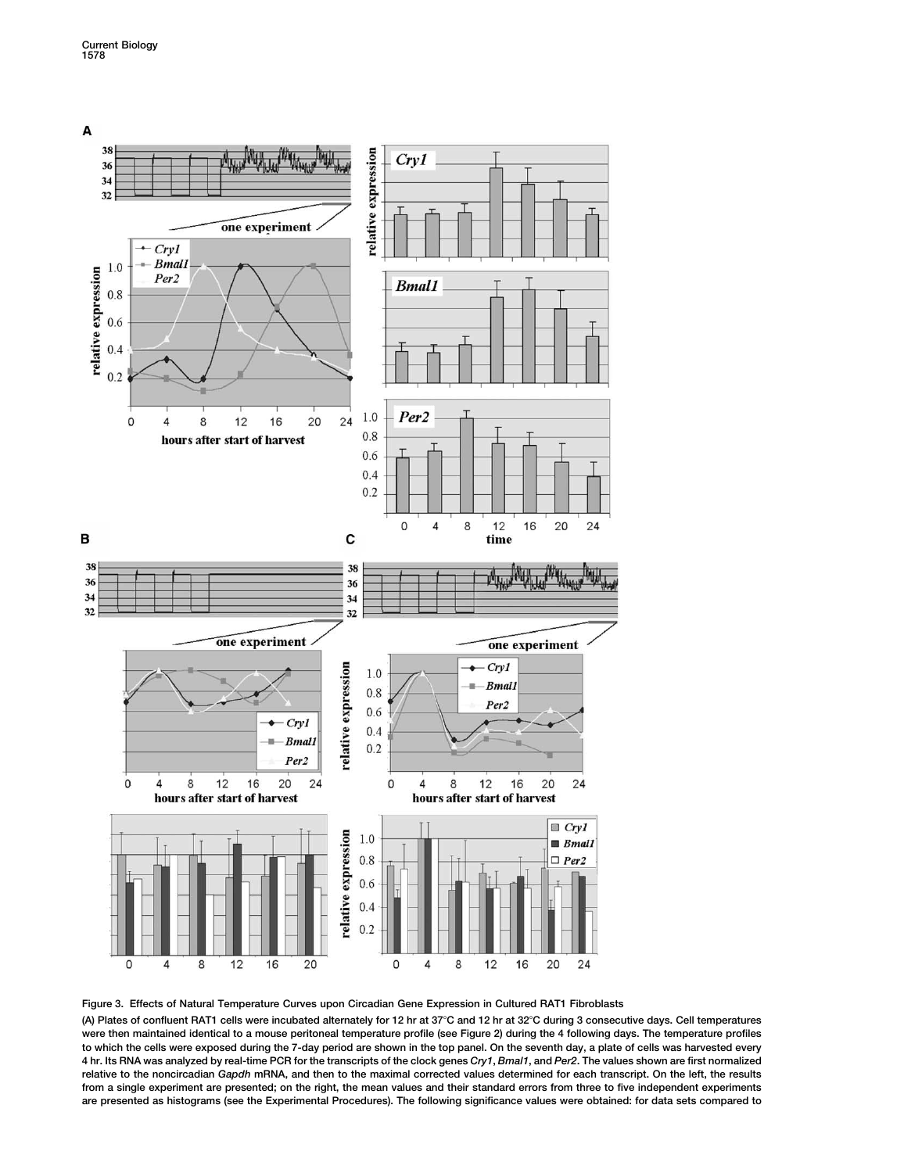



**(A) Plates of confluent RAT1 cells were incubated alternately for 12 hr at 37C and 12 hr at 32C during 3 consecutive days. Cell temperatures were then maintained identical to a mouse peritoneal temperature profile (see Figure 2) during the 4 following days. The temperature profiles to which the cells were exposed during the 7-day period are shown in the top panel. On the seventh day, a plate of cells was harvested every 4 hr. Its RNA was analyzed by real-time PCR for the transcripts of the clock genes** *Cry1***,** *Bmal1***, and** *Per2***. The values shown are first normalized relative to the noncircadian** *Gapdh* **mRNA, and then to the maximal corrected values determined for each transcript. On the left, the results from a single experiment are presented; on the right, the mean values and their standard errors from three to five independent experiments are presented as histograms (see the Experimental Procedures). The following significance values were obtained: for data sets compared to**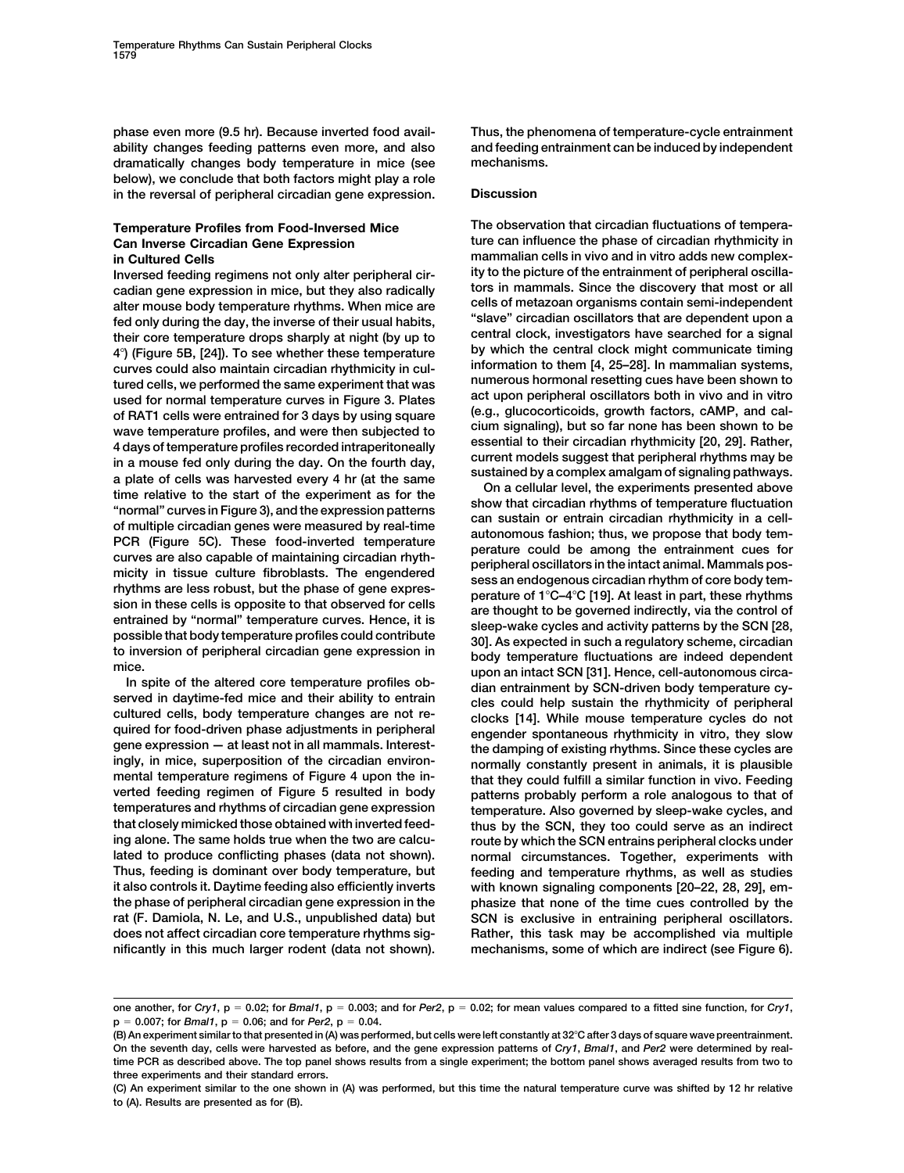**phase even more (9.5 hr). Because inverted food avail- Thus, the phenomena of temperature-cycle entrainment ability changes feeding patterns even more, and also and feeding entrainment can be induced by independent dramatically changes body temperature in mice (see mechanisms. below), we conclude that both factors might play a role in the reversal of peripheral circadian gene expression. Discussion**

Inversed feeding regimens not only alter peripheral cir-<br> **Interact of the entrainment of peripheral care is allocated to the picture of the entrainment of peripheral oscilla<br>
cadian gene expression in mice, but they also cadian gene expression in mice, but they also radically tors in mammals. Since the discovery that most or all cells of metazoan organisms contain semi-independent alter mouse body temperature rhythms. When mice are "slave" circadian oscillators that are dependent upon a fed only during the day, the inverse of their usual habits,** their core temperature drops sharply at night (by up to central clock, investigators have searched for a signal<br>4) (Figure 5B, [24]). To see whether these temperature by which the central clock might communicate timing<br>cur

gene expression – at least not in all mammals. Interest-<br>ingly, in mice, superposition of the circadian environ-<br>mental temperature regimens of Figure 4 upon the in-<br>that they could fulfill a similar function in vivo. Feed **mental temperature regimens of Figure 4 upon the in- that they could fulfill a similar function in vivo. Feeding verted feeding regimen of Figure 5 resulted in body patterns probably perform a role analogous to that of that closely mimicked those obtained with inverted feed- thus by the SCN, they too could serve as an indirect ing alone. The same holds true when the two are calcu- route by which the SCN entrains peripheral clocks under Thus, feeding is dominant over body temperature, but feeding and temperature rhythms, as well as studies it also controls it. Daytime feeding also efficiently inverts with known signaling components [20–22, 28, 29], emthe phase of peripheral circadian gene expression in the phasize that none of the time cues controlled by the rat (F. Damiola, N. Le, and U.S., unpublished data) but SCN is exclusive in entraining peripheral oscillators. does not affect circadian core temperature rhythms sig- Rather, this task may be accomplished via multiple nificantly in this much larger rodent (data not shown). mechanisms, some of which are indirect (see Figure 6).**

**Temperature Profiles from Food-Inversed Mice The observation that circadian fluctuations of tempera-Can Inverse Circadian Gene Expression ture can influence the phase of circadian rhythmicity in** in Cultured Cells<br>Inversed feeding regimens not only alter peripheral cir-<br>**ity to the picture of the entrainment of peripheral oscilla-**

> temperature. Also governed by sleep-wake cycles, and **lated to produce conflicting phases (data not shown). normal circumstances. Together, experiments with**

**one another, for** *Cry1***, p 0.02; for** *Bmal1***, p 0.003; and for** *Per2***, p 0.02; for mean values compared to a fitted sine function, for** *Cry1***, p 0.007; for** *Bmal1***, p 0.06; and for** *Per2***, p 0.04.**

**<sup>(</sup>B) An experiment similar to that presented in (A) was performed, but cells were left constantly at 32C after 3 days of square wave preentrainment. On the seventh day, cells were harvested as before, and the gene expression patterns of** *Cry1***,** *Bmal1***, and** *Per2* **were determined by realtime PCR as described above. The top panel shows results from a single experiment; the bottom panel shows averaged results from two to three experiments and their standard errors.**

**<sup>(</sup>C) An experiment similar to the one shown in (A) was performed, but this time the natural temperature curve was shifted by 12 hr relative to (A). Results are presented as for (B).**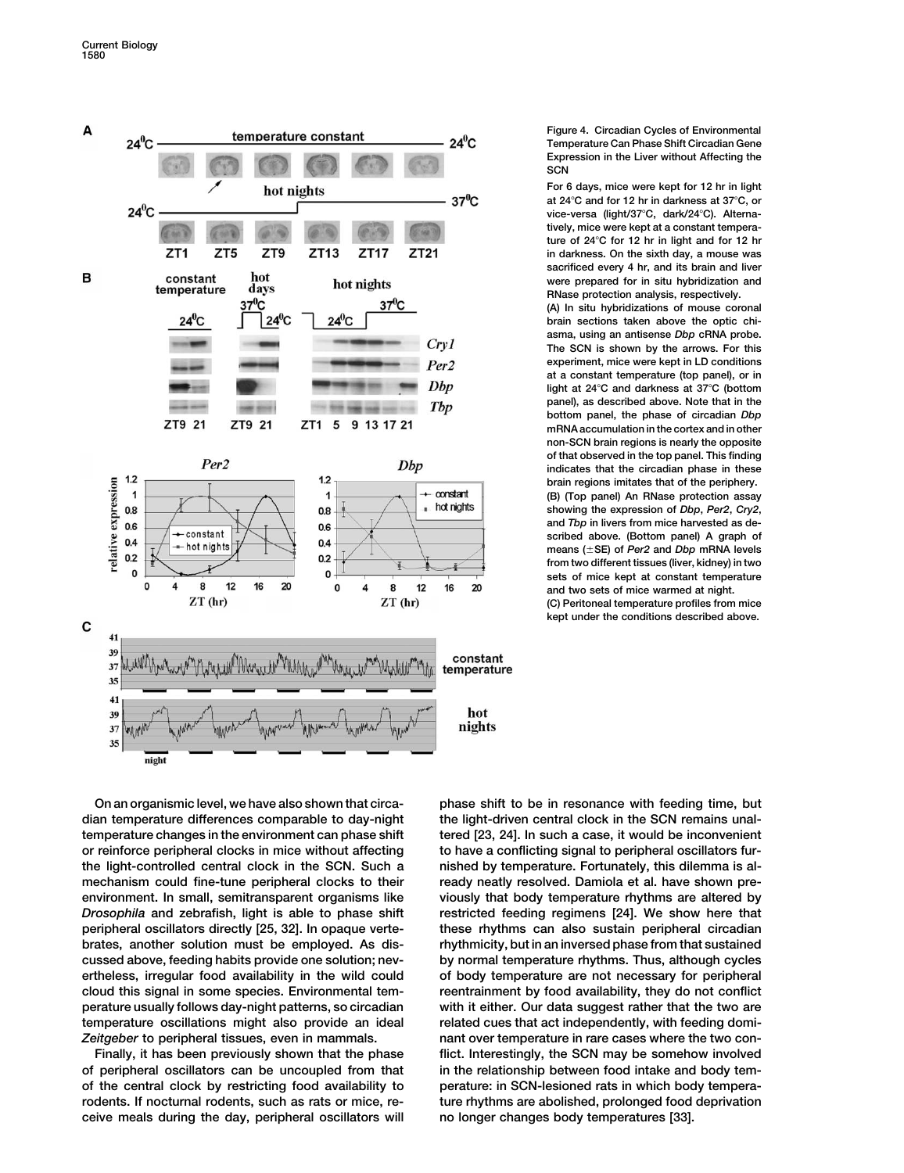

**Figure 4. Circadian Cycles of Environmental Temperature Can Phase Shift Circadian Gene Expression in the Liver without Affecting the SCN**

**For 6 days, mice were kept for 12 hr in light at 24C and for 12 hr in darkness at 37C, or vice-versa (light/37C, dark/24C). Alternatively, mice were kept at a constant temperature of 24C for 12 hr in light and for 12 hr in darkness. On the sixth day, a mouse was sacrificed every 4 hr, and its brain and liver were prepared for in situ hybridization and RNase protection analysis, respectively.**

**(A) In situ hybridizations of mouse coronal brain sections taken above the optic chiasma, using an antisense** *Dbp* **cRNA probe. The SCN is shown by the arrows. For this experiment, mice were kept in LD conditions at a constant temperature (top panel), or in light at 24C and darkness at 37C (bottom panel), as described above. Note that in the bottom panel, the phase of circadian** *Dbp* **mRNA accumulation in the cortex and in other non-SCN brain regions is nearly the opposite of that observed in the top panel. This finding indicates that the circadian phase in these brain regions imitates that of the periphery. (B) (Top panel) An RNase protection assay showing the expression of** *Dbp***,** *Per2***,** *Cry2***, and** *Tbp* **in livers from mice harvested as described above. (Bottom panel) A graph of means (SE) of** *Per2* **and** *Dbp* **mRNA levels from two different tissues (liver, kidney) in two sets of mice kept at constant temperature and two sets of mice warmed at night. (C) Peritoneal temperature profiles from mice kept under the conditions described above.**

**dian temperature differences comparable to day-night the light-driven central clock in the SCN remains unal**temperature changes in the environment can phase shift tered [23, 24]. In such a case, it would be inconvenient **or reinforce peripheral clocks in mice without affecting to have a conflicting signal to peripheral oscillators furthe light-controlled central clock in the SCN. Such a nished by temperature. Fortunately, this dilemma is almechanism could fine-tune peripheral clocks to their ready neatly resolved. Damiola et al. have shown preenvironment. In small, semitransparent organisms like viously that body temperature rhythms are altered by** *Drosophila* **and zebrafish, light is able to phase shift restricted feeding regimens [24]. We show here that peripheral oscillators directly [25, 32]. In opaque verte- these rhythms can also sustain peripheral circadian brates, another solution must be employed. As dis- rhythmicity, but in an inversed phase from that sustained cussed above, feeding habits provide one solution; nev- by normal temperature rhythms. Thus, although cycles ertheless, irregular food availability in the wild could of body temperature are not necessary for peripheral cloud this signal in some species. Environmental tem- reentrainment by food availability, they do not conflict perature usually follows day-night patterns, so circadian with it either. Our data suggest rather that the two are temperature oscillations might also provide an ideal related cues that act independently, with feeding domi-**

**of peripheral oscillators can be uncoupled from that in the relationship between food intake and body temof the central clock by restricting food availability to perature: in SCN-lesioned rats in which body temperarodents. If nocturnal rodents, such as rats or mice, re- ture rhythms are abolished, prolonged food deprivation ceive meals during the day, peripheral oscillators will no longer changes body temperatures [33].**

**On an organismic level, we have also shown that circa- phase shift to be in resonance with feeding time, but** *Zeitgeber* **to peripheral tissues, even in mammals. nant over temperature in rare cases where the two con-Finally, it has been previously shown that the phase flict. Interestingly, the SCN may be somehow involved**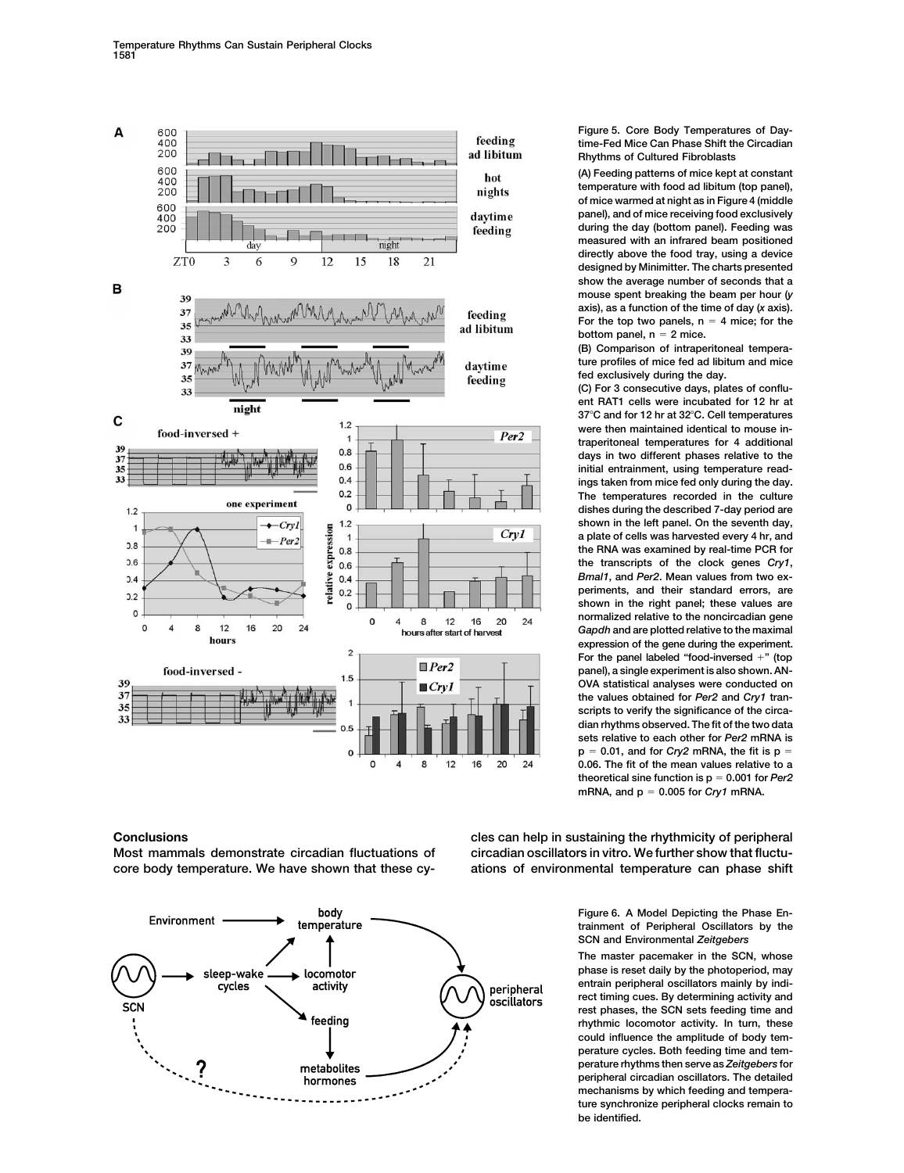

**Figure 5. Core Body Temperatures of Daytime-Fed Mice Can Phase Shift the Circadian Rhythms of Cultured Fibroblasts**

**(A) Feeding patterns of mice kept at constant temperature with food ad libitum (top panel), of mice warmed at night as in Figure 4 (middle panel), and of mice receiving food exclusively during the day (bottom panel). Feeding was measured with an infrared beam positioned directly above the food tray, using a device designed by Minimitter. The charts presented show the average number of seconds that a mouse spent breaking the beam per hour (***y* **axis), as a function of the time of day (***x* **axis).** For the top two panels,  $n = 4$  mice; for the bottom panel,  $n = 2$  mice.

**(B) Comparison of intraperitoneal temperature profiles of mice fed ad libitum and mice fed exclusively during the day.**

**(C) For 3 consecutive days, plates of confluent RAT1 cells were incubated for 12 hr at 37C and for 12 hr at 32C. Cell temperatures were then maintained identical to mouse intraperitoneal temperatures for 4 additional days in two different phases relative to the initial entrainment, using temperature readings taken from mice fed only during the day. The temperatures recorded in the culture dishes during the described 7-day period are shown in the left panel. On the seventh day, a plate of cells was harvested every 4 hr, and the RNA was examined by real-time PCR for the transcripts of the clock genes** *Cry1***,** *Bmal1***, and** *Per2***. Mean values from two experiments, and their standard errors, are shown in the right panel; these values are normalized relative to the noncircadian gene** *Gapdh* **and are plotted relative to the maximal expression of the gene during the experiment.** For the panel labeled "food-inversed +" (top **panel), a single experiment is also shown. AN-OVA statistical analyses were conducted on the values obtained for** *Per2* **and** *Cry1* **transcripts to verify the significance of the circadian rhythms observed. The fit of the two data sets relative to each other for** *Per2* **mRNA is**  $p = 0.01$ , and for *Cry2* mRNA, the fit is  $p =$ **0.06. The fit of the mean values relative to a** theoretical sine function is  $p = 0.001$  for  $Per2$ mRNA, and  $p = 0.005$  for *Cry1* mRNA.





**The master pacemaker in the SCN, whose phase is reset daily by the photoperiod, may entrain peripheral oscillators mainly by indirect timing cues. By determining activity and rest phases, the SCN sets feeding time and rhythmic locomotor activity. In turn, these could influence the amplitude of body temperature cycles. Both feeding time and temperature rhythms then serve as** *Zeitgebers* **for peripheral circadian oscillators. The detailed mechanisms by which feeding and temperature synchronize peripheral clocks remain to be identified.**

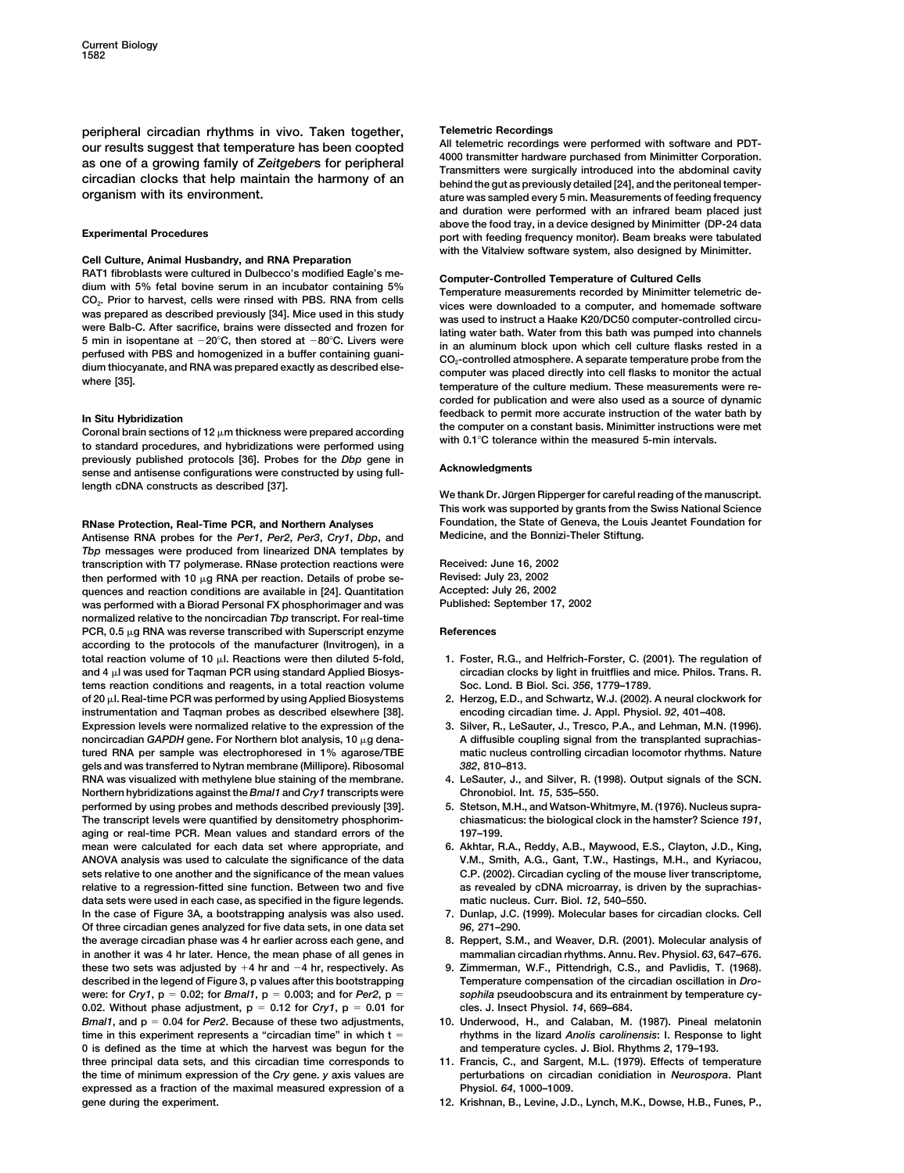**peripheral circadian rhythms in vivo. Taken together, Telemetric Recordings** our results suggest that temperature has been coopted<br>as one of a growing family of Zeitgebers for peripheral<br>circadian clocks that help maintain the harmony of an<br>organism with its environment.<br>organism with its environme

MAT1 fibroblasts were cultured in Dulbecco's modified Eagle's me-<br>
dium with 5% fetal bovine serum in an incubator containing 5%<br>
CO<sub>2</sub>. Prior to harvest, cells were rinsed with PBS. RNA from cells<br>
was preparature measur

**previously published protocols [36]. Probes for the** *Dbp* **gene in Acknowledgments sense and antisense configurations were constructed by using fulllength cDNA constructs as described [37]. We thank Dr. Ju¨rgen Ripperger for careful reading of the manuscript.**

**Antisense RNA probes for the** *Per1* **Medicine, and the Bonnizi-Theler Stiftung. ,** *Per2***,** *Per3***,** *Cry1***,** *Dbp***, and** *Tbp* **messages were produced from linearized DNA templates by transcription with T7 polymerase. RNase protection reactions were Received: June 16, 2002** then performed with 10  $\mu$ g RNA per reaction. Details of probe se-<br>Revised: July 23, 2002 **quences and reaction conditions are available in [24]. Quantitation Accepted: July 26, 2002 was performed with a Biorad Personal FX phosphorimager and was Published: September 17, 2002 normalized relative to the noncircadian** *Tbp* **transcript. For real-time** PCR, 0.5  $\mu$ g RNA was reverse transcribed with Superscript enzyme **References according to the protocols of the manufacturer (Invitrogen), in a total reaction volume of 10 l. Reactions were then diluted 5-fold, 1. Foster, R.G., and Helfrich-Forster, C. (2001). The regulation of** and 4  $\mu$ I was used for Taqman PCR using standard Applied Biosys-<br>
circadian clocks by light in fruitflies and mice. Philos. Trans. R. **tems reaction conditions and reagents, in a total reaction volume Soc. Lond. B Biol. Sci.** *356***, 1779–1789. of 20 l. Real-time PCR was performed by using Applied Biosystems 2. Herzog, E.D., and Schwartz, W.J. (2002). A neural clockwork for instrumentation and Taqman probes as described elsewhere [38]. encoding circadian time. J. Appl. Physiol.** *92***, 401–408. Expression levels were normalized relative to the expression of the 3. Silver, R., LeSauter, J., Tresco, P.A., and Lehman, M.N. (1996).** noncircadian GAPDH gene. For Northern blot analysis, 10 µg dena-<br>A diffusible coupling signal from the transplanted suprachias**tured RNA per sample was electrophoresed in 1% agarose/TBE matic nucleus controlling circadian locomotor rhythms. Nature gels and was transferred to Nytran membrane (Millipore). Ribosomal** *382***, 810–813. RNA was visualized with methylene blue staining of the membrane. 4. LeSauter, J., and Silver, R. (1998). Output signals of the SCN. Northern hybridizations against the** *Bmal1* **and** *Cry1* **transcripts were Chronobiol. Int.** *15***, 535–550. performed by using probes and methods described previously [39]. 5. Stetson, M.H., and Watson-Whitmyre, M. (1976). Nucleus supra-The transcript levels were quantified by densitometry phosphorim- chiasmaticus: the biological clock in the hamster? Science** *191***, aging or real-time PCR. Mean values and standard errors of the 197–199. mean were calculated for each data set where appropriate, and 6. Akhtar, R.A., Reddy, A.B., Maywood, E.S., Clayton, J.D., King, ANOVA analysis was used to calculate the significance of the data V.M., Smith, A.G., Gant, T.W., Hastings, M.H., and Kyriacou, sets relative to one another and the significance of the mean values C.P. (2002). Circadian cycling of the mouse liver transcriptome, relative to a regression-fitted sine function. Between two and five as revealed by cDNA microarray, is driven by the suprachiasdata sets were used in each case, as specified in the figure legends. matic nucleus. Curr. Biol.** *12***, 540–550. In the case of Figure 3A, a bootstrapping analysis was also used. 7. Dunlap, J.C. (1999). Molecular bases for circadian clocks. Cell Of three circadian genes analyzed for five data sets, in one data set** *96***, 271–290. the average circadian phase was 4 hr earlier across each gene, and 8. Reppert, S.M., and Weaver, D.R. (2001). Molecular analysis of in another it was 4 hr later. Hence, the mean phase of all genes in mammalian circadian rhythms. Annu. Rev. Physiol.** *63***, 647–676. these two sets was adjusted by 4 hr and 4 hr, respectively. As 9. Zimmerman, W.F., Pittendrigh, C.S., and Pavlidis, T. (1968). described in the legend of Figure 3, p values after this bootstrapping Temperature compensation of the circadian oscillation in** *Dro*were: for *Cry1*,  $p = 0.02$ ; for *Bmal1*,  $p = 0.003$ ; and for *Per2*,  $p =$  sophila pseudoobscura and its entrainment by temperature cy-0.02. Without phase adjustment,  $p = 0.12$  for *Cry1*,  $p = 0.01$  for cles. J. Insect Physiol. 14, 669–684.<br>**Bmal1**, and  $p = 0.04$  for Per2. Because of these two adjustments, 10. Underwood, H., and Calaban, M. (1987). Pineal *Bmal1*, and  $p = 0.04$  for *Per2*. Because of these two adjustments, **time in this experiment represents a "circadian time" in which t rhythms in the lizard** *Anolis carolinensis***: I. Response to light 0 is defined as the time at which the harvest was begun for the and temperature cycles. J. Biol. Rhythms** *2***, 179–193. three principal data sets, and this circadian time corresponds to 11. Francis, C., and Sargent, M.L. (1979). Effects of temperature the time of minimum expression of the** *Cry* **gene.** *y* **axis values are perturbations on circadian conidiation in** *Neurospora***. Plant expressed as a fraction of the maximal measured expression of a Physiol.** *64***, 1000–1009. gene during the experiment. 12. Krishnan, B., Levine, J.D., Lynch, M.K., Dowse, H.B., Funes, P.,**

ature was sampled every 5 min. Measurements of feeding frequency **and duration were performed with an infrared beam placed just above the food tray, in a device designed by Minimitter (DP-24 data Experimental Procedures port with feeding frequency monitor). Beam breaks were tabulated with the Vitalview software system, also designed by Minimitter. Cell Culture, Animal Husbandry, and RNA Preparation**

**corded for publication and were also used as a source of dynamic** In Situ Hybridization<br>Coronal brain sections of 12 µm thickness were prepared according<br>the computer on a constant basis. Minimitter instructions were met<br>to standard procedures, and hybridizations were performed using wit

**This work was supported by grants from the Swiss National Science RNase Protection, Real-Time PCR, and Northern Analyses Foundation, the State of Geneva, the Louis Jeantet Foundation for**

- 
- 
- 
- 
- 
- 
- 
- 
- 
- 
- 
-